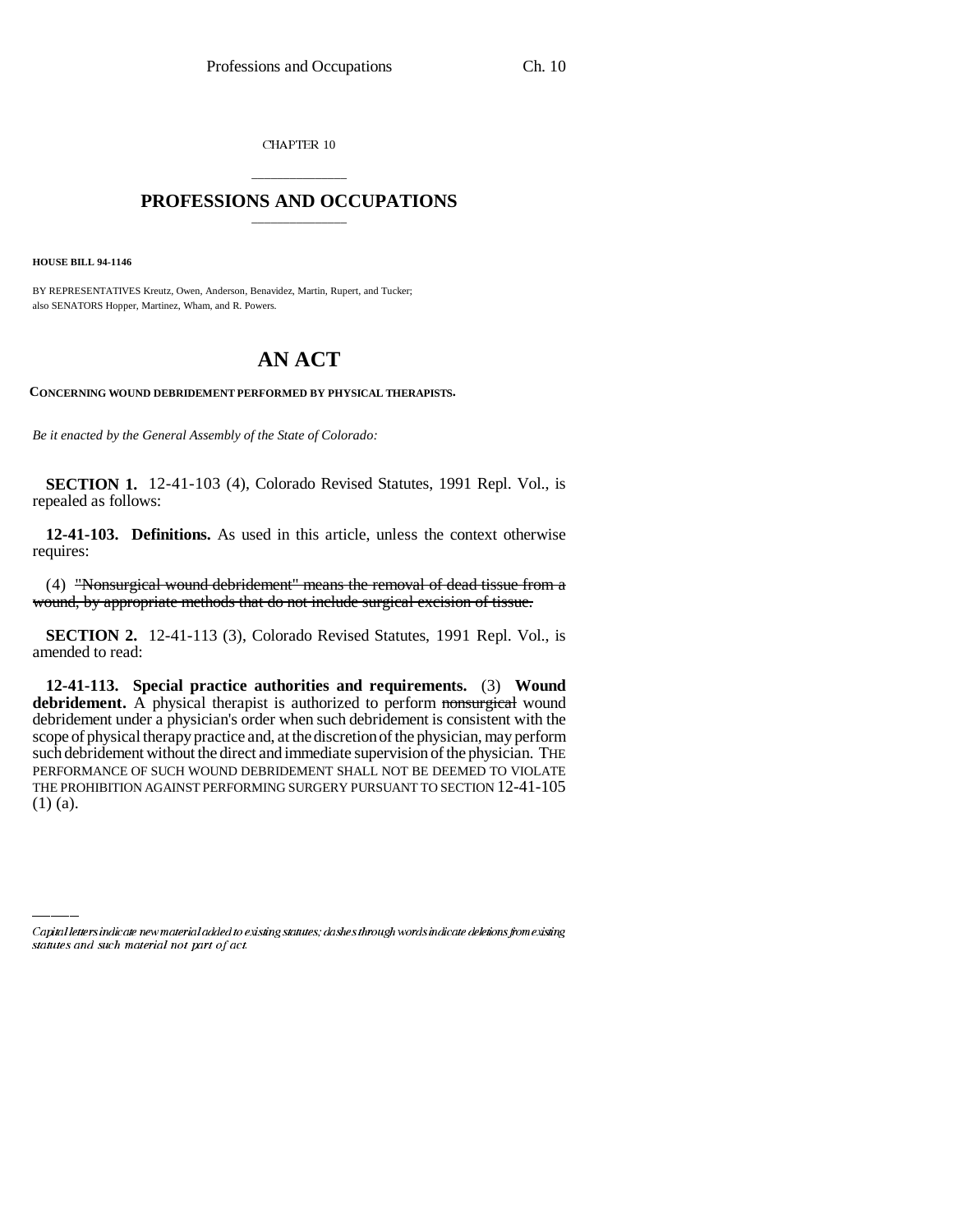CHAPTER 10

## \_\_\_\_\_\_\_\_\_\_\_\_\_\_\_ **PROFESSIONS AND OCCUPATIONS** \_\_\_\_\_\_\_\_\_\_\_\_\_\_\_

**HOUSE BILL 94-1146**

BY REPRESENTATIVES Kreutz, Owen, Anderson, Benavidez, Martin, Rupert, and Tucker; also SENATORS Hopper, Martinez, Wham, and R. Powers.

## **AN ACT**

**CONCERNING WOUND DEBRIDEMENT PERFORMED BY PHYSICAL THERAPISTS.**

*Be it enacted by the General Assembly of the State of Colorado:*

**SECTION 1.** 12-41-103 (4), Colorado Revised Statutes, 1991 Repl. Vol., is repealed as follows:

**12-41-103. Definitions.** As used in this article, unless the context otherwise requires:

(4) "Nonsurgical wound debridement" means the removal of dead tissue from a wound, by appropriate methods that do not include surgical excision of tissue.

**SECTION 2.** 12-41-113 (3), Colorado Revised Statutes, 1991 Repl. Vol., is amended to read:

 $(1)$  (a). **12-41-113. Special practice authorities and requirements.** (3) **Wound** debridement. A physical therapist is authorized to perform nonsurgical wound debridement under a physician's order when such debridement is consistent with the scope of physical therapy practice and, at the discretion of the physician, may perform such debridement without the direct and immediate supervision of the physician. THE PERFORMANCE OF SUCH WOUND DEBRIDEMENT SHALL NOT BE DEEMED TO VIOLATE THE PROHIBITION AGAINST PERFORMING SURGERY PURSUANT TO SECTION 12-41-105

Capital letters indicate new material added to existing statutes; dashes through words indicate deletions from existing statutes and such material not part of act.